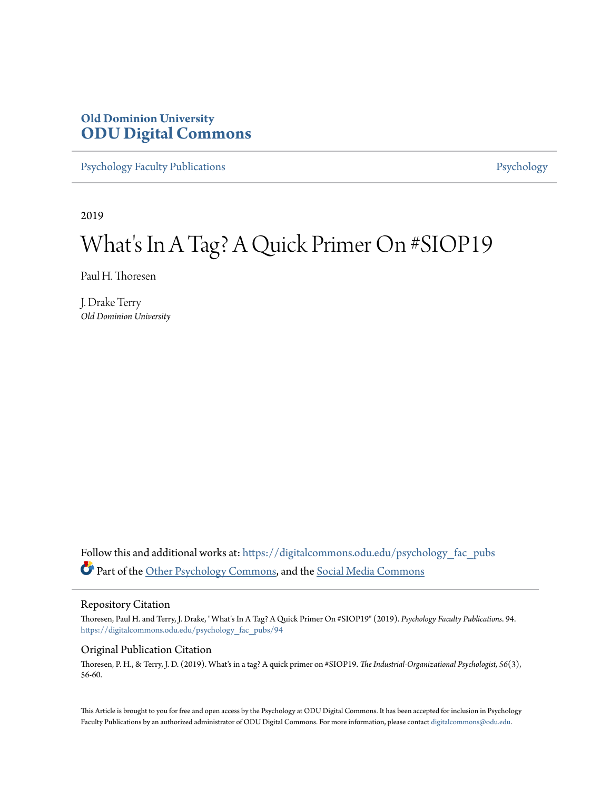# **Old Dominion University [ODU Digital Commons](https://digitalcommons.odu.edu?utm_source=digitalcommons.odu.edu%2Fpsychology_fac_pubs%2F94&utm_medium=PDF&utm_campaign=PDFCoverPages)**

[Psychology Faculty Publications](https://digitalcommons.odu.edu/psychology_fac_pubs?utm_source=digitalcommons.odu.edu%2Fpsychology_fac_pubs%2F94&utm_medium=PDF&utm_campaign=PDFCoverPages) **[Psychology](https://digitalcommons.odu.edu/psychology?utm_source=digitalcommons.odu.edu%2Fpsychology_fac_pubs%2F94&utm_medium=PDF&utm_campaign=PDFCoverPages)** 

2019

# What's In A Tag? A Quick Primer On #SIOP19

Paul H. Thoresen

J. Drake Terry *Old Dominion University*

Follow this and additional works at: [https://digitalcommons.odu.edu/psychology\\_fac\\_pubs](https://digitalcommons.odu.edu/psychology_fac_pubs?utm_source=digitalcommons.odu.edu%2Fpsychology_fac_pubs%2F94&utm_medium=PDF&utm_campaign=PDFCoverPages) Part of the [Other Psychology Commons,](http://network.bepress.com/hgg/discipline/415?utm_source=digitalcommons.odu.edu%2Fpsychology_fac_pubs%2F94&utm_medium=PDF&utm_campaign=PDFCoverPages) and the [Social Media Commons](http://network.bepress.com/hgg/discipline/1249?utm_source=digitalcommons.odu.edu%2Fpsychology_fac_pubs%2F94&utm_medium=PDF&utm_campaign=PDFCoverPages)

#### Repository Citation

Thoresen, Paul H. and Terry, J. Drake, "What's In A Tag? A Quick Primer On #SIOP19" (2019). *Psychology Faculty Publications*. 94. [https://digitalcommons.odu.edu/psychology\\_fac\\_pubs/94](https://digitalcommons.odu.edu/psychology_fac_pubs/94?utm_source=digitalcommons.odu.edu%2Fpsychology_fac_pubs%2F94&utm_medium=PDF&utm_campaign=PDFCoverPages)

#### Original Publication Citation

Thoresen, P. H., & Terry, J. D. (2019). What's in a tag? A quick primer on #SIOP19. *The Industrial-Organizational Psychologist, 56*(3), 56-60.

This Article is brought to you for free and open access by the Psychology at ODU Digital Commons. It has been accepted for inclusion in Psychology Faculty Publications by an authorized administrator of ODU Digital Commons. For more information, please contact [digitalcommons@odu.edu.](mailto:digitalcommons@odu.edu)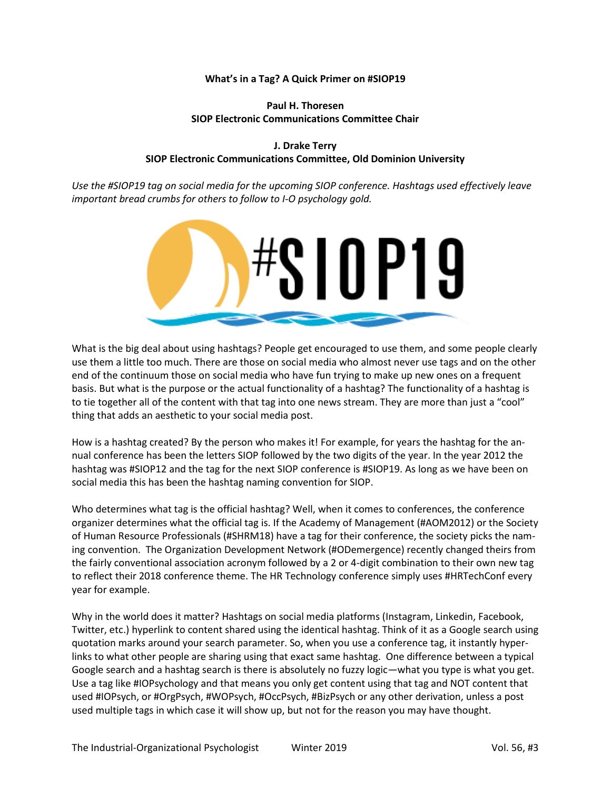#### **What's in a Tag? A Quick Primer on #SIOP19**

#### **Paul H. Thoresen SIOP Electronic Communications Committee Chair**

#### **J. Drake Terry SIOP Electronic Communications Committee, Old Dominion University**

*Use the #SIOP19 tag on social media for the upcoming SIOP conference. Hashtags used effectively leave important bread crumbs for others to follow to I-O psychology gold.* 



What is the big deal about using hashtags? People get encouraged to use them, and some people clearly use them a little too much. There are those on social media who almost never use tags and on the other end of the continuum those on social media who have fun trying to make up new ones on a frequent basis. But what is the purpose or the actual functionality of a hashtag? The functionality of a hashtag is to tie together all of the content with that tag into one news stream. They are more than just a "cool" thing that adds an aesthetic to your social media post.

How is a hashtag created? By the person who makes it! For example, for years the hashtag for the annual conference has been the letters SIOP followed by the two digits of the year. In the year 2012 the hashtag was #SIOP12 and the tag for the next SIOP conference is #SIOP19. As long as we have been on social media this has been the hashtag naming convention for SIOP.

Who determines what tag is the official hashtag? Well, when it comes to conferences, the conference organizer determines what the official tag is. If the Academy of Management (#AOM2012) or the Society of Human Resource Professionals (#SHRM18) have a tag for their conference, the society picks the naming convention. The Organization Development Network (#ODemergence) recently changed theirs from the fairly conventional association acronym followed by a 2 or 4-digit combination to their own new tag to reflect their 2018 conference theme. The HR Technology conference simply uses #HRTechConf every year for example.

Why in the world does it matter? Hashtags on social media platforms (Instagram, Linkedin, Facebook, Twitter, etc.) hyperlink to content shared using the identical hashtag. Think of it as a Google search using quotation marks around your search parameter. So, when you use a conference tag, it instantly hyperlinks to what other people are sharing using that exact same hashtag. One difference between a typical Google search and a hashtag search is there is absolutely no fuzzy logic—what you type is what you get. Use a tag like #IOPsychology and that means you only get content using that tag and NOT content that used #IOPsych, or #OrgPsych, #WOPsych, #OccPsych, #BizPsych or any other derivation, unless a post used multiple tags in which case it will show up, but not for the reason you may have thought.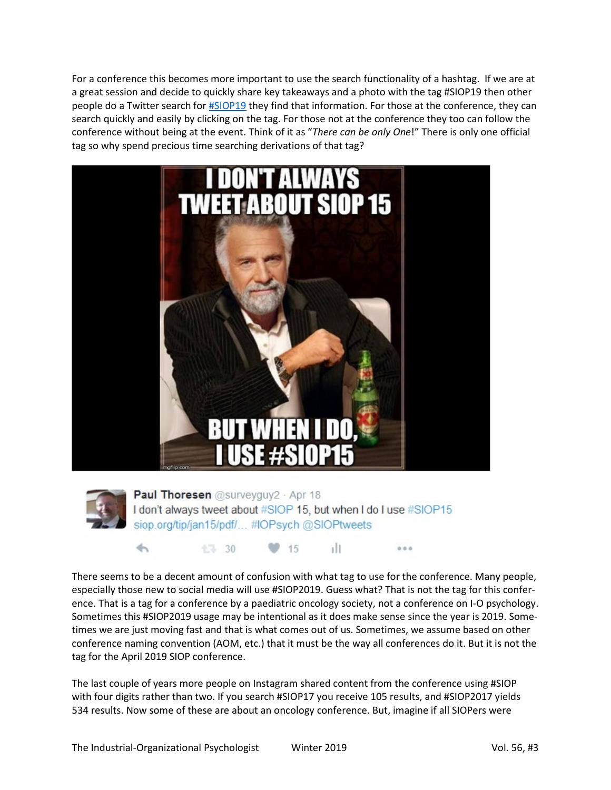For a conference this becomes more important to use the search functionality of a hashtag. If we are at a great session and decide to quickly share key takeaways and a photo with the tag #SIOP19 then other people do a Twitter search for [#SIOP19](https://twitter.com/search?f=tweets&vertical=default&q=%23SIOP19%20&src=typd) they find that information. For those at the conference, they can search quickly and easily by clicking on the tag. For those not at the conference they too can follow the conference without being at the event. Think of it as "*There can be only One*!" There is only one official tag so why spend precious time searching derivations of that tag?





 $\overline{\phantom{m}}$ 

**Paul Thoresen** @surveyguy2 · Apr 18 I don't always tweet about #SIOP 15, but when I do I use #SIOP15 siop.org/tip/jan15/pdf/... #IOPsych @SIOPtweets

15

There seems to be a decent amount of confusion with what tag to use for the conference. Many people, especially those new to social media will use #SIOP2019. Guess what? That is not the tag for this conference. That is a tag for a conference by a paediatric oncology society, not a conference on I-O psychology. Sometimes this #SIOP2019 usage may be intentional as it does make sense since the year is 2019. Sometimes we are just moving fast and that is what comes out of us. Sometimes, we assume based on other conference naming convention (AOM, etc.) that it must be the way all conferences do it. But it is not the tag for the April 2019 SIOP conference.

 $1$ 

 $0.0.0$ 

The last couple of years more people on Instagram shared content from the conference using #SIOP with four digits rather than two. If you search #SIOP17 you receive 105 results, and #SIOP2017 yields 534 results. Now some of these are about an oncology conference. But, imagine if all SIOPers were

七7 30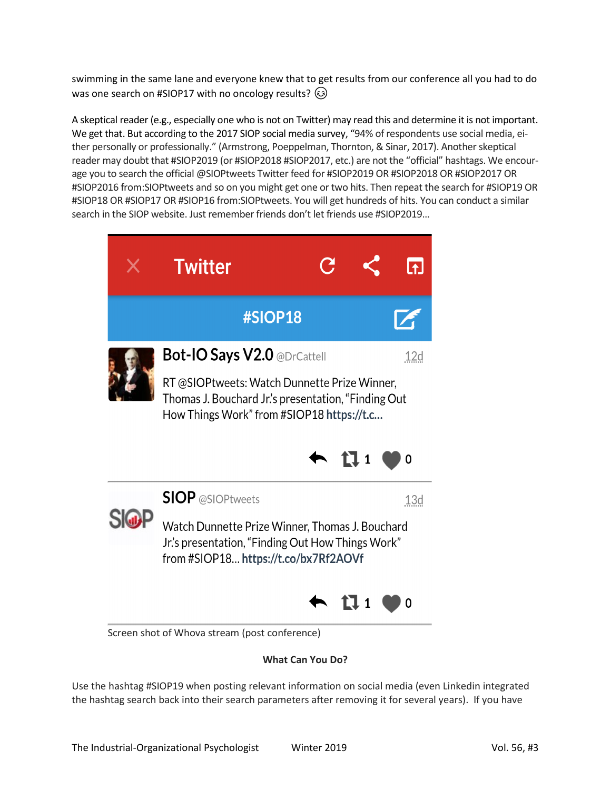swimming in the same lane and everyone knew that to get results from our conference all you had to do was one search on #SIOP17 with no oncology results?  $\circled{e}$ 

A skeptical reader (e.g., especially one who is not on Twitter) may read this and determine it is not important. We get that. But according to the 2017 SIOP social media survey, "94% of respondents use social media, either personally or professionally." (Armstrong, Poeppelman, Thornton, & Sinar, 2017). Another skeptical reader may doubt that #SIOP2019 (or #SIOP2018 #SIOP2017, etc.) are not the "official" hashtags. We encourage you to search the official @SIOPtweets Twitter feed for #SIOP2019 OR #SIOP2018 OR #SIOP2017 OR #SIOP2016 from:SIOPtweets and so on you might get one or two hits. Then repeat the search for #SIOP19 OR #SIOP18 OR #SIOP17 OR #SIOP16 from:SIOPtweets. You will get hundreds of hits. You can conduct a similar search in the SIOP website. Just remember friends don't let friends use #SIOP2019…



**What Can You Do?**

Use the hashtag #SIOP19 when posting relevant information on social media (even Linkedin integrated the hashtag search back into their search parameters after removing it for several years). If you have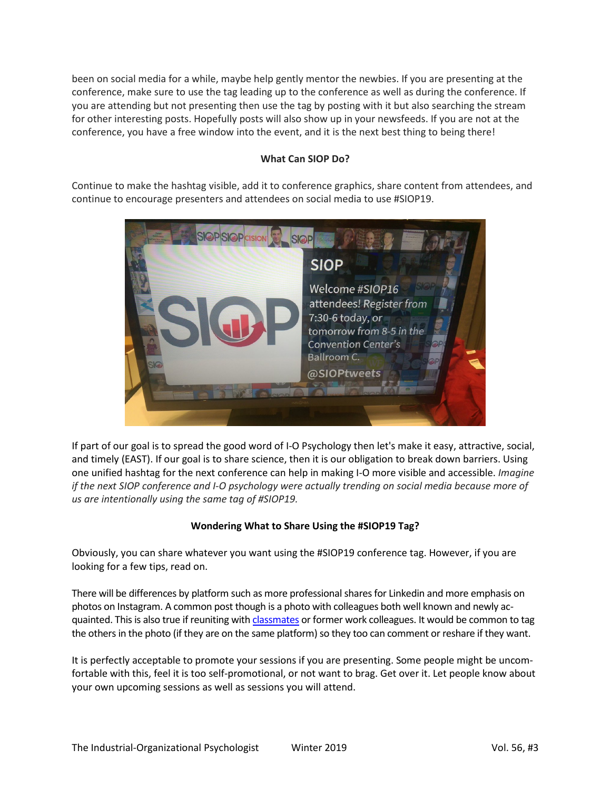been on social media for a while, maybe help gently mentor the newbies. If you are presenting at the conference, make sure to use the tag leading up to the conference as well as during the conference. If you are attending but not presenting then use the tag by posting with it but also searching the stream for other interesting posts. Hopefully posts will also show up in your newsfeeds. If you are not at the conference, you have a free window into the event, and it is the next best thing to being there!

### **What Can SIOP Do?**

Continue to make the hashtag visible, add it to conference graphics, share content from attendees, and continue to encourage presenters and attendees on social media to use #SIOP19.



If part of our goal is to spread the good word of I-O Psychology then let's make it easy, attractive, social, and timely (EAST). If our goal is to share science, then it is our obligation to break down barriers. Using one unified hashtag for the next conference can help in making I-O more visible and accessible. *Imagine if the next SIOP conference and I-O psychology were actually trending on social media because more of us are intentionally using the same tag of #SIOP19.*

## **Wondering What to Share Using the #SIOP19 Tag?**

Obviously, you can share whatever you want using the #SIOP19 conference tag. However, if you are looking for a few tips, read on.

There will be differences by platform such as more professional shares for Linkedin and more emphasis on photos on Instagram. A common post though is a photo with colleagues both well known and newly acquainted. This is also true if reuniting wit[h classmates](https://twitter.com/QuinettaPhD/status/987642343309312000) or former work colleagues. It would be common to tag the others in the photo (if they are on the same platform) so they too can comment or reshare if they want.

It is perfectly acceptable to promote your sessions if you are presenting. Some people might be uncomfortable with this, feel it is too self-promotional, or not want to brag. Get over it. Let people know about your own upcoming sessions as well as sessions you will attend.